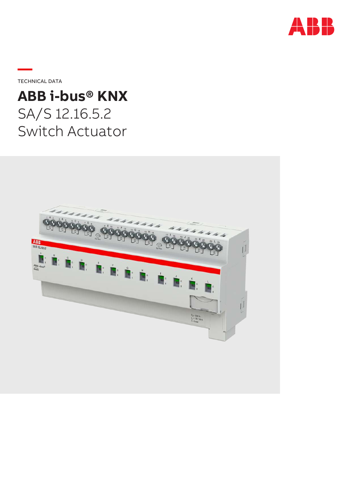

**—**TECHNICAL DATA

# **ABB i-bus® KNX** SA/S 12.16.5.2 Switch Actuator

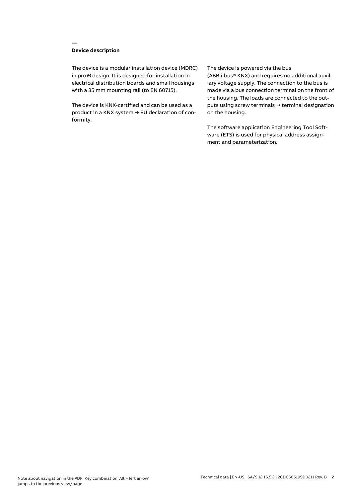## **Device description**

**—**

The device is a modular installation device (MDRC) in proM design. It is designed for installation in electrical distribution boards and small housings with a 35 mm mounting rail (to EN 60715).

The device is KNX-certified and can be used as a product in a KNX system → EU declaration of conformity.

#### The device is powered via the bus

(ABB i-bus® KNX) and requires no additional auxiliary voltage supply. The connection to the bus is made via a bus connection terminal on the front of the housing. The loads are connected to the outputs using screw terminals → terminal designation on the housing.

The software application Engineering Tool Software (ETS) is used for physical address assignment and parameterization.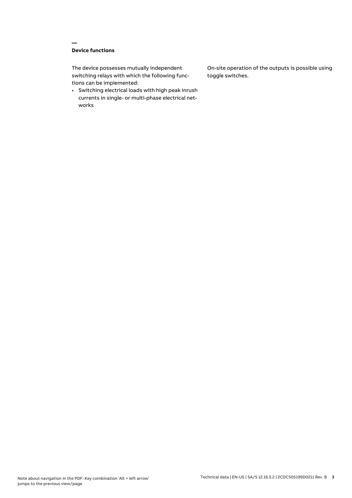# **Device functions**

**—**

The device possesses mutually independent switching relays with which the following functions can be implemented:

• Switching electrical loads with high peak inrush currents in single- or multi-phase electrical networks

On-site operation of the outputs is possible using toggle switches.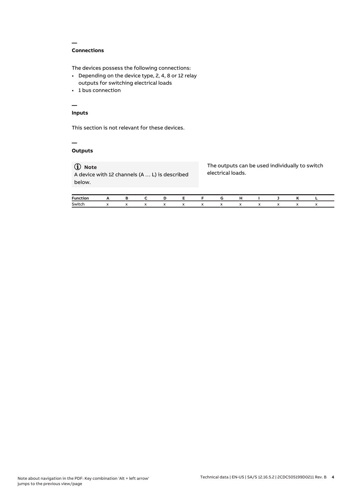## **Connections**

**—**

The devices possess the following connections:

- Depending on the device type, 2, 4, 8 or 12 relay outputs for switching electrical loads
- 1 bus connection

# **—**

# **Inputs**

This section is not relevant for these devices.

#### **— Outputs**

# **Note**

A device with 12 channels (A … L) is described below.

The outputs can be used individually to switch electrical loads.

| <b>Funct</b> |           |              |                      |  |  |  |  |  |
|--------------|-----------|--------------|----------------------|--|--|--|--|--|
| Switch       | $\lambda$ | $\mathbf{v}$ | $\ddot{\phantom{0}}$ |  |  |  |  |  |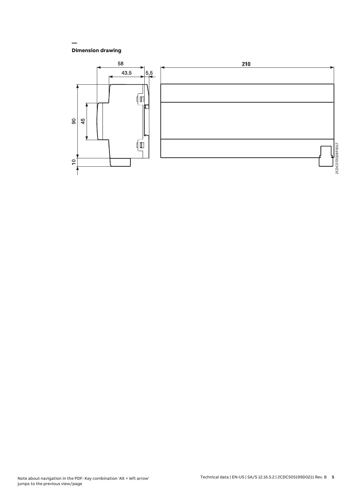## **Dimension drawing**

**—**

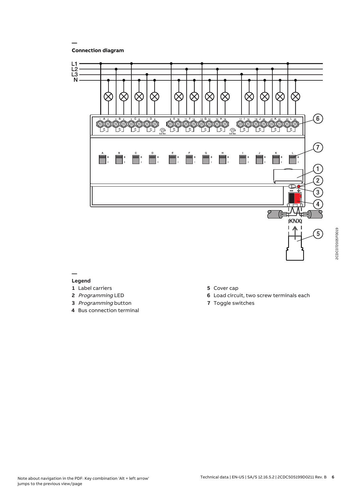**Connection diagram**

**—**



#### **— Legend**

- **1** Label carriers
- **2** Programming LED
- **3** Programming button
- **4** Bus connection terminal
- **5** Cover cap
- **6** Load circuit, two screw terminals each
- **7** Toggle switches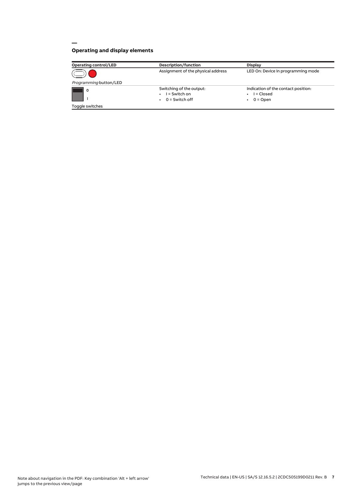# **Operating and display elements**

**—**

| <b>Operating control/LED</b> | Description/function                                            | <b>Display</b>                                                  |  |  |
|------------------------------|-----------------------------------------------------------------|-----------------------------------------------------------------|--|--|
|                              | Assignment of the physical address                              | LED On: Device in programming mode                              |  |  |
| Programming button/LED       |                                                                 |                                                                 |  |  |
| $\circ$                      | Switching of the output:<br>$I =$ Switch on<br>$0 =$ Switch off | Indication of the contact position:<br>l = Closed<br>$0 =$ Open |  |  |
| Toggle switches              |                                                                 |                                                                 |  |  |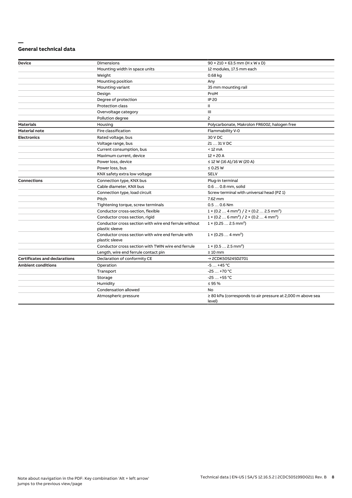#### **— General technical data**

| <b>Device</b>                        | Dimensions                                                              | $90 \times 210 \times 63.5$ mm (H x W x D)                                      |  |  |
|--------------------------------------|-------------------------------------------------------------------------|---------------------------------------------------------------------------------|--|--|
|                                      | Mounting width in space units                                           | 12 modules, 17.5 mm each                                                        |  |  |
|                                      | Weight                                                                  | 0.68 kg                                                                         |  |  |
|                                      | Mounting position                                                       | Any                                                                             |  |  |
|                                      | Mounting variant                                                        | 35 mm mounting rail                                                             |  |  |
|                                      | Design                                                                  | ProM                                                                            |  |  |
|                                      | Degree of protection                                                    | <b>IP 20</b>                                                                    |  |  |
|                                      | Protection class                                                        | Ш                                                                               |  |  |
|                                      | Overvoltage category                                                    | Ш                                                                               |  |  |
|                                      | Pollution degree                                                        | 2                                                                               |  |  |
| <b>Materials</b>                     | Housing                                                                 | Polycarbonate, Makrolon FR6002, halogen free                                    |  |  |
| <b>Material note</b>                 | Fire classification                                                     | Flammability V-0                                                                |  |  |
| <b>Electronics</b>                   | Rated voltage, bus                                                      | 30 V DC                                                                         |  |  |
|                                      | Voltage range, bus                                                      | 21  31 V DC                                                                     |  |  |
|                                      | Current consumption, bus                                                | $< 12 \text{ mA}$                                                               |  |  |
|                                      | Maximum current, device                                                 | $12 \times 20$ A                                                                |  |  |
|                                      | Power loss, device                                                      | $\leq$ 12 W (16 A)/16 W (20 A)                                                  |  |  |
|                                      | Power loss, bus                                                         | $\leq$ 0.25 W                                                                   |  |  |
|                                      | KNX safety extra low voltage                                            | <b>SELV</b>                                                                     |  |  |
| <b>Connections</b>                   | Connection type, KNX bus                                                | Plug-in terminal                                                                |  |  |
|                                      | Cable diameter, KNX bus                                                 | 0.6  0.8 mm, solid                                                              |  |  |
|                                      | Connection type, load circuit                                           | Screw terminal with universal head (PZ 1)                                       |  |  |
|                                      | Pitch                                                                   | 7.62 mm                                                                         |  |  |
|                                      | Tightening torque, screw terminals                                      | $0.50.6$ Nm                                                                     |  |  |
|                                      | Conductor cross-section, flexible                                       | $1 \times (0.2 \ldots 4 \text{ mm}^2) / 2 \times (0.2 \ldots 2.5 \text{ mm}^2)$ |  |  |
|                                      | Conductor cross section, rigid                                          | $1 \times (0.2 \ldots 6 \text{ mm}^2) / 2 \times (0.2 \ldots 4 \text{ mm}^2)$   |  |  |
|                                      | Conductor cross section with wire end ferrule without<br>plastic sleeve | $1 \times (0.252.5 \text{ mm}^2)$                                               |  |  |
|                                      | Conductor cross section with wire end ferrule with<br>plastic sleeve    | $1 \times (0.254 \text{ mm}^2)$                                                 |  |  |
|                                      | Conductor cross section with TWIN wire end ferrule                      | $1 \times (0.52.5)$ mm <sup>2</sup> )                                           |  |  |
|                                      | Length, wire end ferrule contact pin                                    | $\geq 10$ mm                                                                    |  |  |
| <b>Certificates and declarations</b> | Declaration of conformity CE                                            | → 2CDK505245D2701                                                               |  |  |
| <b>Ambient conditions</b>            | Operation                                                               | $-5+45$ °C                                                                      |  |  |
|                                      | Transport                                                               | $-25+70 °C$                                                                     |  |  |
|                                      | Storage                                                                 | $-25+55$ °C                                                                     |  |  |
|                                      | Humidity                                                                | $\leq$ 95 %                                                                     |  |  |
|                                      | Condensation allowed                                                    | No                                                                              |  |  |
|                                      | Atmospheric pressure                                                    | $\geq$ 80 kPa (corresponds to air pressure at 2,000 m above sea<br>level)       |  |  |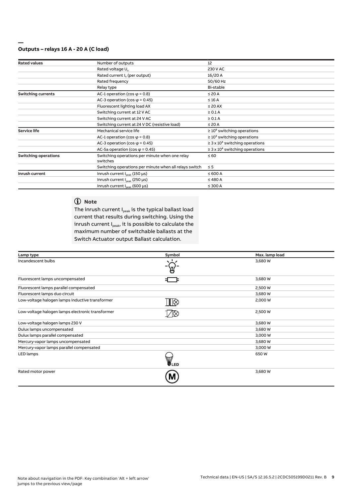#### **Outputs – relays 16 A - 20 A (C load)**

**—**

| <b>Rated values</b>         | Number of outputs                                      | 12                                              |  |
|-----------------------------|--------------------------------------------------------|-------------------------------------------------|--|
|                             | Rated voltage U <sub>n</sub>                           | 230 V AC                                        |  |
|                             | Rated current I <sub>n</sub> (per output)              | 16/20 A                                         |  |
|                             | Rated frequency                                        | 50/60 Hz                                        |  |
|                             | Relay type                                             | Bi-stable                                       |  |
| <b>Switching currents</b>   | AC-1 operation (cos $\varphi$ = 0.8)                   | $\leq 20$ A                                     |  |
|                             | AC-3 operation (cos $\varphi$ = 0.45)                  | $\leq 16$ A                                     |  |
|                             | Fluorescent lighting load AX                           | $\leq$ 20 AX                                    |  |
|                             | Switching current at 12 V AC                           | $\geq 0.1$ A                                    |  |
|                             | Switching current at 24 V AC                           | $\geq 0.1$ A                                    |  |
|                             | Switching current at 24 V DC (resistive load)          | $\leq 20$ A                                     |  |
| <b>Service life</b>         | Mechanical service life                                | $\geq 10^6$ switching operations                |  |
|                             | AC-1 operation (cos $\varphi$ = 0.8)                   | $\geq 10^5$ switching operations                |  |
|                             | AC-3 operation (cos $\varphi$ = 0.45)                  | $\geq$ 3 x 10 <sup>4</sup> switching operations |  |
|                             | AC-5a operation (cos $\varphi$ = 0.45)                 | $\geq$ 3 x 10 <sup>4</sup> switching operations |  |
| <b>Switching operations</b> | Switching operations per minute when one relay         | $\leq 60$                                       |  |
|                             | switches                                               |                                                 |  |
|                             | Switching operations per minute when all relays switch | $\leq$ 5                                        |  |
| Inrush current              | Inrush current $I_{\text{peak}}$ (150 µs)              | $\leq 600 A$                                    |  |
|                             | Inrush current $I_{\text{peak}}$ (250 $\mu$ s)         | $\leq 480$ A                                    |  |
|                             | Inrush current $I_{\text{peak}}$ (600 µs)              | $\leq$ 300 A                                    |  |

# **Note**

The inrush current  $I_{peak}$  is the typical ballast load current that results during switching. Using the inrush current  $I_{\rm peak}$ , it is possible to calculate the maximum number of switchable ballasts at the Switch Actuator output Ballast calculation.

| Lamp type                                        | Symbol | Max. lamp load |
|--------------------------------------------------|--------|----------------|
| Incandescent bulbs                               |        | 3,680 W        |
| Fluorescent lamps uncompensated                  |        | 3,680 W        |
| Fluorescent lamps parallel compensated           |        | 2,500 W        |
| Fluorescent lamps duo circuit                    |        | 3,680 W        |
| Low-voltage halogen lamps inductive transformer  | ℿ⊗     | 2,000 W        |
| Low-voltage halogen lamps electronic transformer |        | 2,500 W        |
| Low-voltage halogen lamps 230 V                  |        | 3,680 W        |
| Dulux lamps uncompensated                        |        | 3,680 W        |
| Dulux lamps parallel compensated                 |        | 3,000 W        |
| Mercury-vapor lamps uncompensated                |        | 3,680 W        |
| Mercury-vapor lamps parallel compensated         |        | 3,000 W        |
| LED lamps                                        | UED    | 650W           |
| Rated motor power                                | Μ      | 3,680 W        |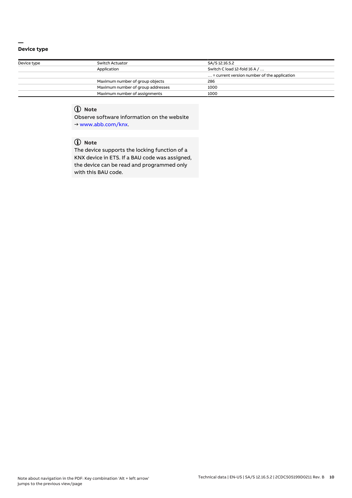#### **— Device type**

| Switch Actuator                   | SA/S 12.16.5.2                                       |  |  |
|-----------------------------------|------------------------------------------------------|--|--|
| Application                       | Switch C load 12-fold 16 A /                         |  |  |
|                                   | $\ldots$ = current version number of the application |  |  |
| Maximum number of group objects   | 286                                                  |  |  |
| Maximum number of group addresses | 1000                                                 |  |  |
| Maximum number of assignments     | 1000                                                 |  |  |
|                                   |                                                      |  |  |

# **Note**

Observe software information on the website → www.abb.com/knx.

# **Note**

The device supports the locking function of a KNX device in ETS. If a BAU code was assigned, the device can be read and programmed only with this BAU code.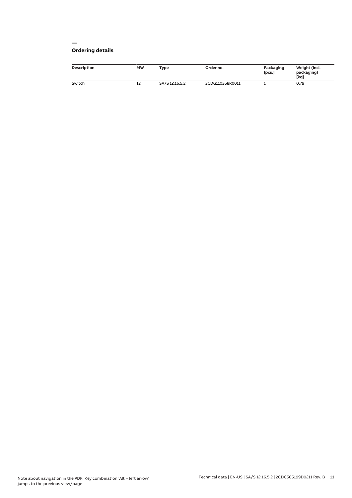#### **— Ordering details**

| <b>Description</b> | <b>MW</b> | Type           | Order no.       | Packaging<br>[pcs.] | Weight (incl.<br>packaging)<br>[kg] |
|--------------------|-----------|----------------|-----------------|---------------------|-------------------------------------|
| Switch             | ᅭ         | SA/S 12.16.5.2 | 2CDG110268R0011 |                     | 0.79                                |